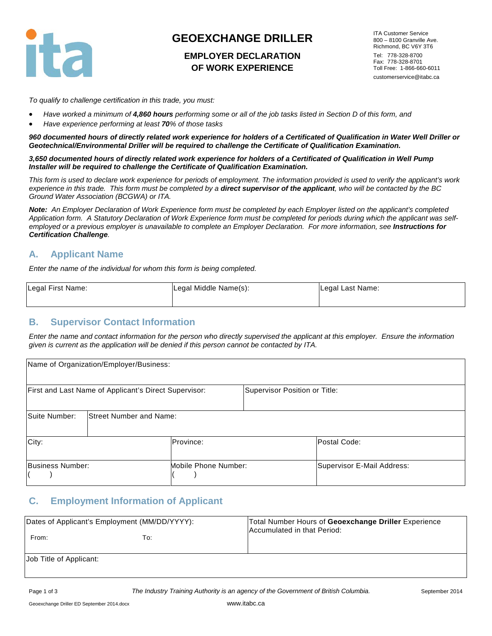

# **GEOEXCHANGE DRILLER**

#### **EMPLOYER DECLARATION OF WORK EXPERIENCE**

ITA Customer Service 800 – 8100 Granville Ave. Richmond, BC V6Y 3T6 Tel: 778-328-8700 Fax: 778-328-8701 Toll Free: 1-866-660-6011 customerservice@itabc.ca

*To qualify to challenge certification in this trade, you must:* 

- *Have worked a minimum of 4,860 hours performing some or all of the job tasks listed in Section D of this form, and*
- *Have experience performing at least 70% of those tasks*

*960 documented hours of directly related work experience for holders of a Certificated of Qualification in Water Well Driller or Geotechnical/Environmental Driller will be required to challenge the Certificate of Qualification Examination.* 

*3,650 documented hours of directly related work experience for holders of a Certificated of Qualification in Well Pump Installer will be required to challenge the Certificate of Qualification Examination.* 

*This form is used to declare work experience for periods of employment. The information provided is used to verify the applicant's work*  experience in this trade. This form must be completed by a **direct supervisor of the applicant**, who will be contacted by the BC *Ground Water Association (BCGWA) or ITA.* 

*Note: An Employer Declaration of Work Experience form must be completed by each Employer listed on the applicant's completed Application form. A Statutory Declaration of Work Experience form must be completed for periods during which the applicant was selfemployed or a previous employer is unavailable to complete an Employer Declaration. For more information, see Instructions for Certification Challenge.* 

#### **A. Applicant Name**

*Enter the name of the individual for whom this form is being completed.*

| Legal First Name: | Legal Middle Name(s): | Legal Last Name: |
|-------------------|-----------------------|------------------|
|                   |                       |                  |

#### **B. Supervisor Contact Information**

*Enter the name and contact information for the person who directly supervised the applicant at this employer. Ensure the information given is current as the application will be denied if this person cannot be contacted by ITA.*

|                  | Name of Organization/Employer/Business:               |                      |                               |                            |
|------------------|-------------------------------------------------------|----------------------|-------------------------------|----------------------------|
|                  | First and Last Name of Applicant's Direct Supervisor: |                      | Supervisor Position or Title: |                            |
| Suite Number:    | <b>Street Number and Name:</b>                        |                      |                               |                            |
| City:            |                                                       | Province:            |                               | Postal Code:               |
| Business Number: |                                                       | Mobile Phone Number: |                               | Supervisor E-Mail Address: |

#### **C. Employment Information of Applicant**

| Dates of Applicant's Employment (MM/DD/YYYY):<br>From: | To: | Total Number Hours of Geoexchange Driller Experience<br>Accumulated in that Period: |
|--------------------------------------------------------|-----|-------------------------------------------------------------------------------------|
| Job Title of Applicant:                                |     |                                                                                     |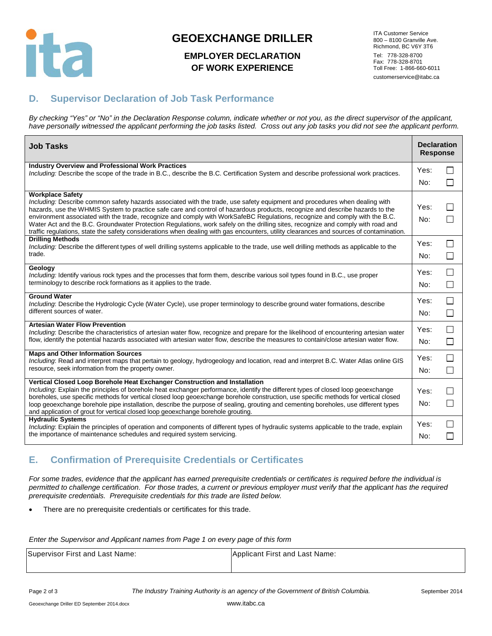

# **GEOEXCHANGE DRILLER**

#### **EMPLOYER DECLARATION OF WORK EXPERIENCE**

ITA Customer Service 800 – 8100 Granville Ave. Richmond, BC V6Y 3T6 Tel: 778-328-8700 Fax: 778-328-8701 Toll Free: 1-866-660-6011 customerservice@itabc.ca

### **D. Supervisor Declaration of Job Task Performance**

*By checking "Yes" or "No" in the Declaration Response column, indicate whether or not you, as the direct supervisor of the applicant, have personally witnessed the applicant performing the job tasks listed. Cross out any job tasks you did not see the applicant perform.*

| <b>Job Tasks</b>                                                                                                                                                                                                                                                                                                                                                                                                                                                                                                                                                                                                                                                                                    | <b>Declaration</b><br><b>Response</b> |                              |
|-----------------------------------------------------------------------------------------------------------------------------------------------------------------------------------------------------------------------------------------------------------------------------------------------------------------------------------------------------------------------------------------------------------------------------------------------------------------------------------------------------------------------------------------------------------------------------------------------------------------------------------------------------------------------------------------------------|---------------------------------------|------------------------------|
| <b>Industry Overview and Professional Work Practices</b><br>Including: Describe the scope of the trade in B.C., describe the B.C. Certification System and describe professional work practices.                                                                                                                                                                                                                                                                                                                                                                                                                                                                                                    | Yes:<br>No:                           | П<br>П                       |
| <b>Workplace Safety</b><br>Including: Describe common safety hazards associated with the trade, use safety equipment and procedures when dealing with<br>hazards, use the WHMIS System to practice safe care and control of hazardous products, recognize and describe hazards to the<br>environment associated with the trade, recognize and comply with WorkSafeBC Regulations, recognize and comply with the B.C.<br>Water Act and the B.C. Groundwater Protection Regulations, work safely on the drilling sites, recognize and comply with road and<br>traffic regulations, state the safety considerations when dealing with gas encounters, utility clearances and sources of contamination. | Yes:<br>No:                           | П<br>П                       |
| <b>Drilling Methods</b><br>Including: Describe the different types of well drilling systems applicable to the trade, use well drilling methods as applicable to the<br>trade.                                                                                                                                                                                                                                                                                                                                                                                                                                                                                                                       | Yes:<br>No:                           | $\Box$<br>П                  |
| Geology<br>Including: Identify various rock types and the processes that form them, describe various soil types found in B.C., use proper<br>terminology to describe rock formations as it applies to the trade.                                                                                                                                                                                                                                                                                                                                                                                                                                                                                    | Yes:<br>No:                           | П<br>П                       |
| <b>Ground Water</b><br>Including: Describe the Hydrologic Cycle (Water Cycle), use proper terminology to describe ground water formations, describe<br>different sources of water.                                                                                                                                                                                                                                                                                                                                                                                                                                                                                                                  | Yes:<br>No:                           | П<br>$\mathsf{L}$            |
| <b>Artesian Water Flow Prevention</b><br>Including: Describe the characteristics of artesian water flow, recognize and prepare for the likelihood of encountering artesian water<br>flow, identify the potential hazards associated with artesian water flow, describe the measures to contain/close artesian water flow.                                                                                                                                                                                                                                                                                                                                                                           | Yes:<br>No:                           | $\mathbf{I}$<br>$\Box$       |
| <b>Maps and Other Information Sources</b><br>Including: Read and interpret maps that pertain to geology, hydrogeology and location, read and interpret B.C. Water Atlas online GIS<br>resource, seek information from the property owner.                                                                                                                                                                                                                                                                                                                                                                                                                                                           | Yes:<br>No:                           | $\mathbf{L}$<br>П            |
| Vertical Closed Loop Borehole Heat Exchanger Construction and Installation<br>Including: Explain the principles of borehole heat exchanger performance, identify the different types of closed loop geoexchange<br>boreholes, use specific methods for vertical closed loop geoexchange borehole construction, use specific methods for vertical closed<br>loop geoexchange borehole pipe installation, describe the purpose of sealing, grouting and cementing boreholes, use different types<br>and application of grout for vertical closed loop geoexchange borehole grouting.                                                                                                                  | Yes:<br>No:                           | $\perp$<br>$\perp$           |
| <b>Hydraulic Systems</b><br>Including: Explain the principles of operation and components of different types of hydraulic systems applicable to the trade, explain<br>the importance of maintenance schedules and required system servicing.                                                                                                                                                                                                                                                                                                                                                                                                                                                        | Yes:<br>No:                           | $\mathbf{I}$<br>$\mathbf{I}$ |

## **E. Confirmation of Prerequisite Credentials or Certificates**

*For some trades, evidence that the applicant has earned prerequisite credentials or certificates is required before the individual is permitted to challenge certification. For those trades, a current or previous employer must verify that the applicant has the required prerequisite credentials. Prerequisite credentials for this trade are listed below.*

There are no prerequisite credentials or certificates for this trade.

*Enter the Supervisor and Applicant names from Page 1 on every page of this form*

| Supervisor First and Last Name: | Applicant First and Last Name: |
|---------------------------------|--------------------------------|
|                                 |                                |

Page 2 of 3 *The Industry Training Authority is an agency of the Government of British Columbia.* September 2014